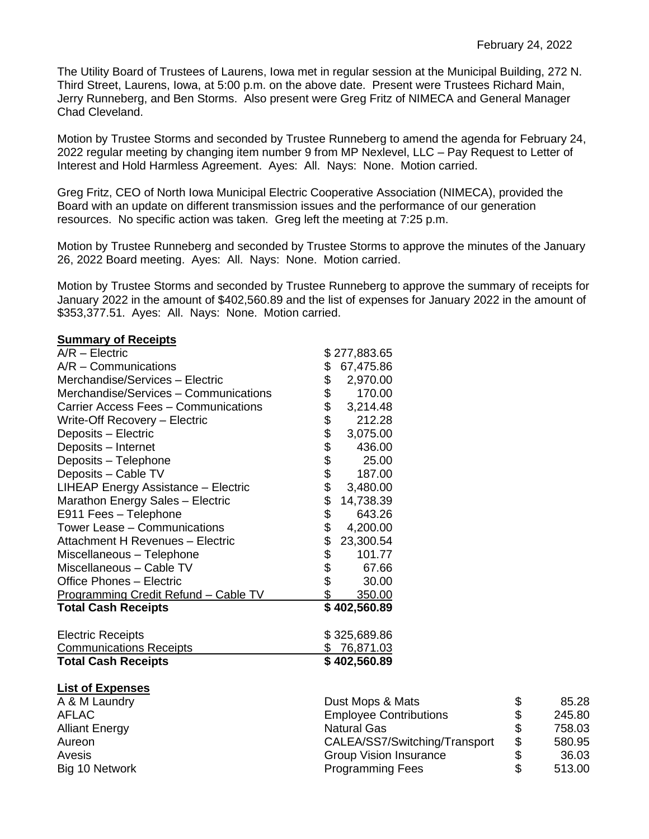The Utility Board of Trustees of Laurens, Iowa met in regular session at the Municipal Building, 272 N. Third Street, Laurens, Iowa, at 5:00 p.m. on the above date. Present were Trustees Richard Main, Jerry Runneberg, and Ben Storms. Also present were Greg Fritz of NIMECA and General Manager Chad Cleveland.

Motion by Trustee Storms and seconded by Trustee Runneberg to amend the agenda for February 24, 2022 regular meeting by changing item number 9 from MP Nexlevel, LLC – Pay Request to Letter of Interest and Hold Harmless Agreement. Ayes: All. Nays: None. Motion carried.

Greg Fritz, CEO of North Iowa Municipal Electric Cooperative Association (NIMECA), provided the Board with an update on different transmission issues and the performance of our generation resources. No specific action was taken. Greg left the meeting at 7:25 p.m.

Motion by Trustee Runneberg and seconded by Trustee Storms to approve the minutes of the January 26, 2022 Board meeting. Ayes: All. Nays: None. Motion carried.

Motion by Trustee Storms and seconded by Trustee Runneberg to approve the summary of receipts for January 2022 in the amount of \$402,560.89 and the list of expenses for January 2022 in the amount of \$353,377.51. Ayes: All. Nays: None. Motion carried.

| $A/R - Electric$                            |          | \$277,883.65  |
|---------------------------------------------|----------|---------------|
| $A/R - \text{Communications}$               | \$       | 67,475.86     |
| Merchandise/Services - Electric             | \$       | 2,970.00      |
| Merchandise/Services - Communications       |          | 170.00        |
| Carrier Access Fees - Communications        | \$<br>\$ | 3,214.48      |
| Write-Off Recovery - Electric               |          | 212.28        |
| Deposits - Electric                         |          | 3,075.00      |
| Deposits - Internet                         |          | 436.00        |
| Deposits - Telephone                        | \$\$\$\$ | 25.00         |
| Deposits - Cable TV                         | \$       | 187.00        |
| LIHEAP Energy Assistance - Electric         |          | 3,480.00      |
| Marathon Energy Sales - Electric            |          | 14,738.39     |
| E911 Fees - Telephone                       | \$\$     | 643.26        |
| Tower Lease - Communications                | \$       | 4,200.00      |
| Attachment H Revenues - Electric            | \$<br>\$ | 23,300.54     |
| Miscellaneous - Telephone                   |          | 101.77        |
| Miscellaneous - Cable TV                    | \$<br>\$ | 67.66         |
| <b>Office Phones - Electric</b>             |          | 30.00         |
| <b>Programming Credit Refund - Cable TV</b> | \$       | 350.00        |
| <b>Total Cash Receipts</b>                  |          | \$402,560.89  |
| <b>Electric Receipts</b>                    |          | \$325,689.86  |
| <b>Communications Receipts</b>              |          | \$76,871.03   |
| <b>Total Cash Receipts</b>                  |          | \$402,560.89  |
| <b>List of Expenses</b>                     |          |               |
| A & M Laundry                               |          | Dust Mops & N |

| A & M Laundry  | Dust Mops & Mats              | \$<br>85.28  |
|----------------|-------------------------------|--------------|
| AFLAC          | <b>Employee Contributions</b> | \$<br>245.80 |
| Alliant Energy | <b>Natural Gas</b>            | \$<br>758.03 |
| Aureon         | CALEA/SS7/Switching/Transport | \$<br>580.95 |
| Avesis         | <b>Group Vision Insurance</b> | \$<br>36.03  |
| Big 10 Network | <b>Programming Fees</b>       | \$<br>513.00 |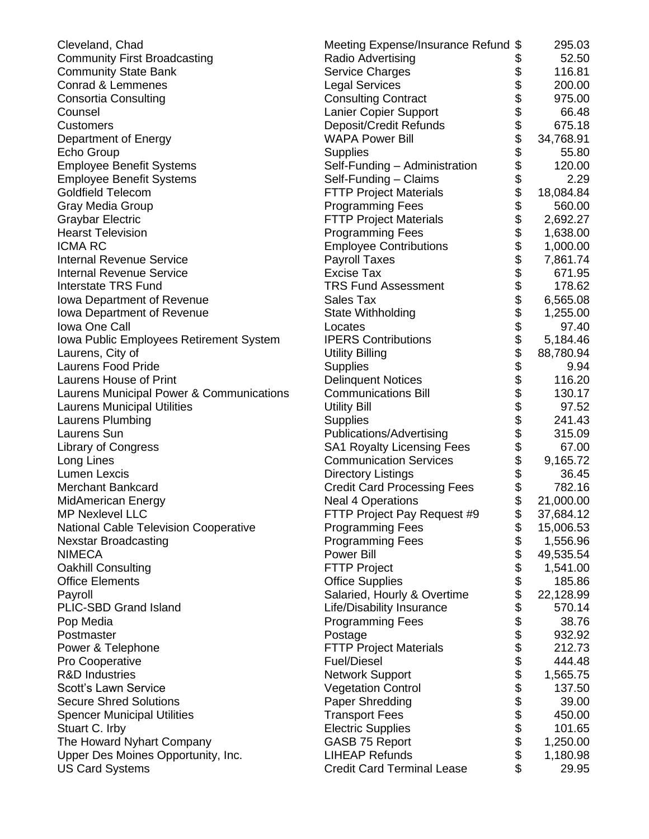| Cleveland, Chad                              | Meeting Expense/Insurance Refund \$ |                       | 295.03    |
|----------------------------------------------|-------------------------------------|-----------------------|-----------|
| <b>Community First Broadcasting</b>          | Radio Advertising                   |                       | 52.50     |
| <b>Community State Bank</b>                  | <b>Service Charges</b>              | \$                    | 116.81    |
| Conrad & Lemmenes                            | <b>Legal Services</b>               |                       | 200.00    |
| <b>Consortia Consulting</b>                  | <b>Consulting Contract</b>          |                       | 975.00    |
| Counsel                                      | Lanier Copier Support               |                       | 66.48     |
| <b>Customers</b>                             | Deposit/Credit Refunds              |                       | 675.18    |
| Department of Energy                         | <b>WAPA Power Bill</b>              |                       | 34,768.91 |
| Echo Group                                   | <b>Supplies</b>                     |                       | 55.80     |
| <b>Employee Benefit Systems</b>              | Self-Funding - Administration       | \$\$\$\$\$\$\$\$      | 120.00    |
| <b>Employee Benefit Systems</b>              | Self-Funding - Claims               |                       | 2.29      |
| <b>Goldfield Telecom</b>                     | <b>FTTP Project Materials</b>       | \$<br>\$              | 18,084.84 |
| Gray Media Group                             | <b>Programming Fees</b>             |                       | 560.00    |
| <b>Graybar Electric</b>                      | <b>FTTP Project Materials</b>       |                       | 2,692.27  |
| <b>Hearst Television</b>                     | <b>Programming Fees</b>             |                       | 1,638.00  |
| <b>ICMA RC</b>                               | <b>Employee Contributions</b>       |                       | 1,000.00  |
| <b>Internal Revenue Service</b>              | <b>Payroll Taxes</b>                |                       | 7,861.74  |
| <b>Internal Revenue Service</b>              | <b>Excise Tax</b>                   |                       | 671.95    |
| <b>Interstate TRS Fund</b>                   | <b>TRS Fund Assessment</b>          |                       | 178.62    |
| Iowa Department of Revenue                   | Sales Tax                           |                       | 6,565.08  |
| <b>Iowa Department of Revenue</b>            | State Withholding                   |                       | 1,255.00  |
| Iowa One Call                                | Locates                             |                       | 97.40     |
| Iowa Public Employees Retirement System      | <b>IPERS Contributions</b>          |                       | 5,184.46  |
| Laurens, City of                             | <b>Utility Billing</b>              | ୫୫୫୫୫୫୫୫୫୫୫୫୫୫୫୫୫୫୫୫୫ | 88,780.94 |
| <b>Laurens Food Pride</b>                    | <b>Supplies</b>                     |                       | 9.94      |
| Laurens House of Print                       | <b>Delinquent Notices</b>           |                       | 116.20    |
| Laurens Municipal Power & Communications     | <b>Communications Bill</b>          |                       | 130.17    |
| <b>Laurens Municipal Utilities</b>           | <b>Utility Bill</b>                 |                       | 97.52     |
| Laurens Plumbing                             | <b>Supplies</b>                     |                       | 241.43    |
| Laurens Sun                                  | Publications/Advertising            |                       | 315.09    |
| <b>Library of Congress</b>                   | <b>SA1 Royalty Licensing Fees</b>   |                       | 67.00     |
| Long Lines                                   | <b>Communication Services</b>       |                       | 9,165.72  |
| <b>Lumen Lexcis</b>                          | <b>Directory Listings</b>           |                       | 36.45     |
| <b>Merchant Bankcard</b>                     | <b>Credit Card Processing Fees</b>  |                       | 782.16    |
| <b>MidAmerican Energy</b>                    | <b>Neal 4 Operations</b>            | \$<br>\$              | 21,000.00 |
| MP Nexlevel LLC                              | FTTP Project Pay Request #9         |                       | 37,684.12 |
| <b>National Cable Television Cooperative</b> | <b>Programming Fees</b>             | \$                    | 15,006.53 |
| <b>Nexstar Broadcasting</b>                  | <b>Programming Fees</b>             | \$                    | 1,556.96  |
| <b>NIMECA</b>                                | <b>Power Bill</b>                   | \$                    | 49,535.54 |
| <b>Oakhill Consulting</b>                    | <b>FTTP Project</b>                 | \$                    | 1,541.00  |
| <b>Office Elements</b>                       | <b>Office Supplies</b>              |                       | 185.86    |
| Payroll                                      | Salaried, Hourly & Overtime         |                       | 22,128.99 |
| PLIC-SBD Grand Island                        | Life/Disability Insurance           |                       | 570.14    |
| Pop Media                                    | <b>Programming Fees</b>             |                       | 38.76     |
| Postmaster                                   | Postage                             |                       | 932.92    |
| Power & Telephone                            | <b>FTTP Project Materials</b>       |                       | 212.73    |
| Pro Cooperative                              | <b>Fuel/Diesel</b>                  |                       | 444.48    |
| <b>R&amp;D Industries</b>                    | <b>Network Support</b>              |                       | 1,565.75  |
| Scott's Lawn Service                         | <b>Vegetation Control</b>           |                       | 137.50    |
| <b>Secure Shred Solutions</b>                | Paper Shredding                     |                       | 39.00     |
| <b>Spencer Municipal Utilities</b>           | <b>Transport Fees</b>               |                       | 450.00    |
| Stuart C. Irby                               | <b>Electric Supplies</b>            |                       | 101.65    |
| The Howard Nyhart Company                    | <b>GASB 75 Report</b>               |                       | 1,250.00  |
| Upper Des Moines Opportunity, Inc.           | <b>LIHEAP Refunds</b>               | 8888888888888888      | 1,180.98  |
| <b>US Card Systems</b>                       | <b>Credit Card Terminal Lease</b>   |                       | 29.95     |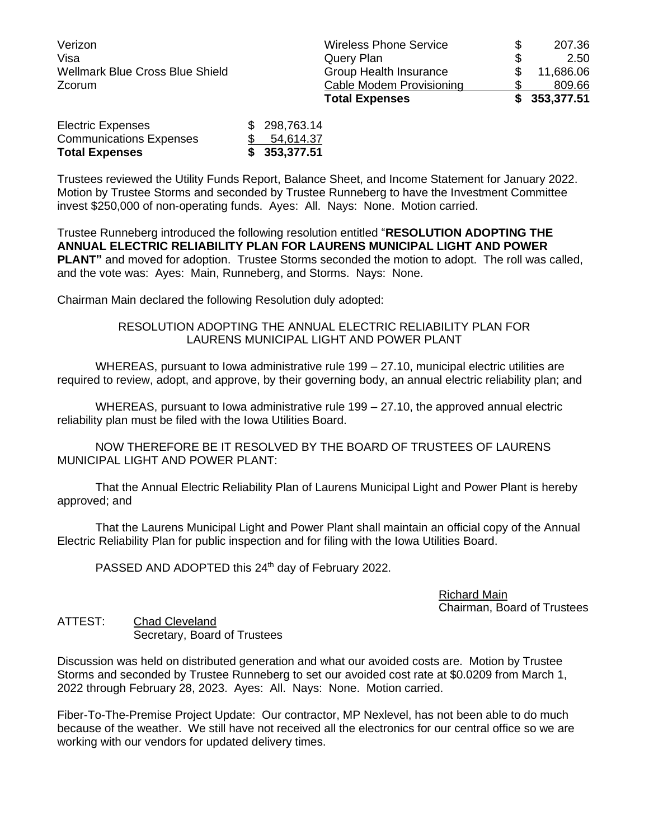|                                 | <b>Total Expenses</b>         |    | \$353,377.51 |
|---------------------------------|-------------------------------|----|--------------|
| Zcorum                          | Cable Modem Provisioning      |    | 809.66       |
| Wellmark Blue Cross Blue Shield | Group Health Insurance        |    | 11,686.06    |
| Visa                            | Query Plan                    | \$ | 2.50         |
| Verizon                         | <b>Wireless Phone Service</b> | S  | 207.36       |

| <b>Total Expenses</b>          | \$353,377.51 |
|--------------------------------|--------------|
| <b>Communications Expenses</b> | \$54,614.37  |
| <b>Electric Expenses</b>       | \$298,763.14 |

Trustees reviewed the Utility Funds Report, Balance Sheet, and Income Statement for January 2022. Motion by Trustee Storms and seconded by Trustee Runneberg to have the Investment Committee invest \$250,000 of non-operating funds. Ayes: All. Nays: None. Motion carried.

Trustee Runneberg introduced the following resolution entitled "**RESOLUTION ADOPTING THE ANNUAL ELECTRIC RELIABILITY PLAN FOR LAURENS MUNICIPAL LIGHT AND POWER PLANT"** and moved for adoption. Trustee Storms seconded the motion to adopt. The roll was called, and the vote was: Ayes: Main, Runneberg, and Storms. Nays: None.

Chairman Main declared the following Resolution duly adopted:

## RESOLUTION ADOPTING THE ANNUAL ELECTRIC RELIABILITY PLAN FOR LAURENS MUNICIPAL LIGHT AND POWER PLANT

WHEREAS, pursuant to Iowa administrative rule 199 – 27.10, municipal electric utilities are required to review, adopt, and approve, by their governing body, an annual electric reliability plan; and

WHEREAS, pursuant to Iowa administrative rule 199 – 27.10, the approved annual electric reliability plan must be filed with the Iowa Utilities Board.

NOW THEREFORE BE IT RESOLVED BY THE BOARD OF TRUSTEES OF LAURENS MUNICIPAL LIGHT AND POWER PLANT:

That the Annual Electric Reliability Plan of Laurens Municipal Light and Power Plant is hereby approved; and

That the Laurens Municipal Light and Power Plant shall maintain an official copy of the Annual Electric Reliability Plan for public inspection and for filing with the Iowa Utilities Board.

PASSED AND ADOPTED this 24<sup>th</sup> day of February 2022.

Richard Main Chairman, Board of Trustees

ATTEST: Chad Cleveland Secretary, Board of Trustees

Discussion was held on distributed generation and what our avoided costs are. Motion by Trustee Storms and seconded by Trustee Runneberg to set our avoided cost rate at \$0.0209 from March 1, 2022 through February 28, 2023. Ayes: All. Nays: None. Motion carried.

Fiber-To-The-Premise Project Update: Our contractor, MP Nexlevel, has not been able to do much because of the weather. We still have not received all the electronics for our central office so we are working with our vendors for updated delivery times.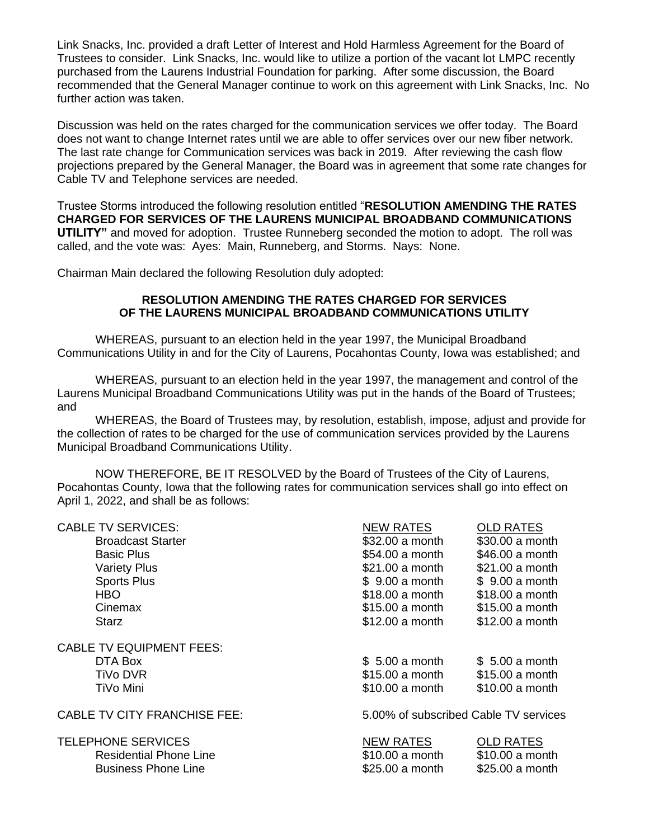Link Snacks, Inc. provided a draft Letter of Interest and Hold Harmless Agreement for the Board of Trustees to consider. Link Snacks, Inc. would like to utilize a portion of the vacant lot LMPC recently purchased from the Laurens Industrial Foundation for parking. After some discussion, the Board recommended that the General Manager continue to work on this agreement with Link Snacks, Inc. No further action was taken.

Discussion was held on the rates charged for the communication services we offer today. The Board does not want to change Internet rates until we are able to offer services over our new fiber network. The last rate change for Communication services was back in 2019. After reviewing the cash flow projections prepared by the General Manager, the Board was in agreement that some rate changes for Cable TV and Telephone services are needed.

Trustee Storms introduced the following resolution entitled "**RESOLUTION AMENDING THE RATES CHARGED FOR SERVICES OF THE LAURENS MUNICIPAL BROADBAND COMMUNICATIONS UTILITY"** and moved for adoption. Trustee Runneberg seconded the motion to adopt. The roll was called, and the vote was: Ayes: Main, Runneberg, and Storms. Nays: None.

Chairman Main declared the following Resolution duly adopted:

## **RESOLUTION AMENDING THE RATES CHARGED FOR SERVICES OF THE LAURENS MUNICIPAL BROADBAND COMMUNICATIONS UTILITY**

WHEREAS, pursuant to an election held in the year 1997, the Municipal Broadband Communications Utility in and for the City of Laurens, Pocahontas County, Iowa was established; and

WHEREAS, pursuant to an election held in the year 1997, the management and control of the Laurens Municipal Broadband Communications Utility was put in the hands of the Board of Trustees; and

WHEREAS, the Board of Trustees may, by resolution, establish, impose, adjust and provide for the collection of rates to be charged for the use of communication services provided by the Laurens Municipal Broadband Communications Utility.

NOW THEREFORE, BE IT RESOLVED by the Board of Trustees of the City of Laurens, Pocahontas County, Iowa that the following rates for communication services shall go into effect on April 1, 2022, and shall be as follows:

| <b>CABLE TV SERVICES:</b>           | <b>NEW RATES</b>                      | <b>OLD RATES</b> |
|-------------------------------------|---------------------------------------|------------------|
| <b>Broadcast Starter</b>            | \$32.00 a month                       | \$30.00 a month  |
| <b>Basic Plus</b>                   | \$54.00 a month                       | \$46.00 a month  |
| <b>Variety Plus</b>                 | \$21.00 a month                       | \$21.00 a month  |
| <b>Sports Plus</b>                  | \$9.00 a month                        | \$9.00 a month   |
| HBO.                                | \$18.00 a month                       | \$18.00 a month  |
| Cinemax                             | \$15.00 a month                       | \$15.00 a month  |
| <b>Starz</b>                        | \$12.00 a month                       | \$12.00 a month  |
| <b>CABLE TV EQUIPMENT FEES:</b>     |                                       |                  |
| DTA Box                             | \$5.00 a month                        | \$5.00 a month   |
| <b>TiVo DVR</b>                     | \$15.00 a month                       | \$15.00 a month  |
| TiVo Mini                           | \$10.00 a month                       | $$10.00$ a month |
| <b>CABLE TV CITY FRANCHISE FEE:</b> | 5.00% of subscribed Cable TV services |                  |
| <b>TELEPHONE SERVICES</b>           | <b>NEW RATES</b>                      | <b>OLD RATES</b> |
| <b>Residential Phone Line</b>       | \$10.00 a month                       | \$10.00 a month  |
| <b>Business Phone Line</b>          | \$25.00 a month                       | \$25.00 a month  |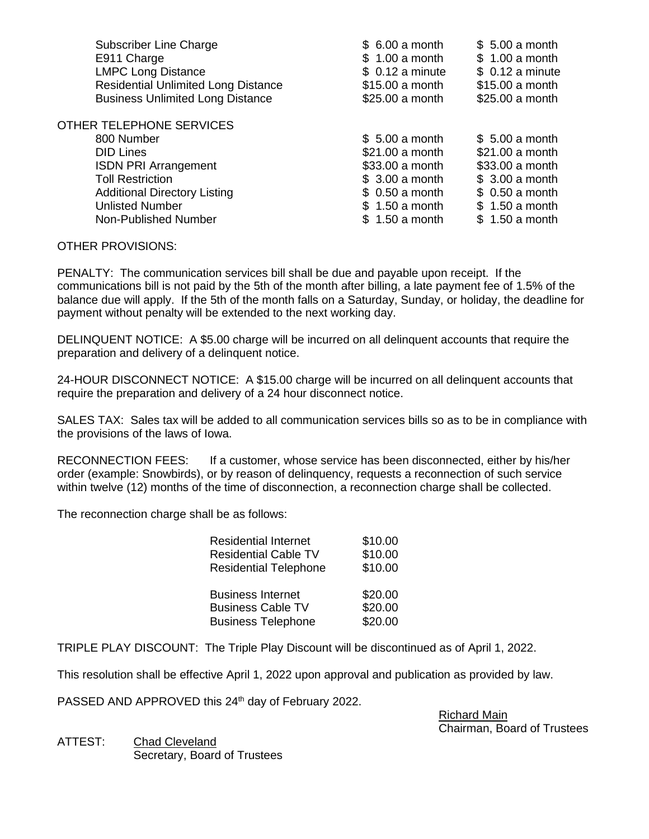| Subscriber Line Charge<br>E911 Charge<br><b>LMPC Long Distance</b><br><b>Residential Unlimited Long Distance</b><br><b>Business Unlimited Long Distance</b> | \$6.00 a month<br>\$1.00 a month<br>$$0.12$ a minute<br>\$15.00 a month<br>\$25.00 a month | \$5.00 a month<br>\$1.00 a month<br>$$0.12$ a minute<br>\$15.00 a month<br>\$25.00 a month |
|-------------------------------------------------------------------------------------------------------------------------------------------------------------|--------------------------------------------------------------------------------------------|--------------------------------------------------------------------------------------------|
| OTHER TELEPHONE SERVICES                                                                                                                                    |                                                                                            |                                                                                            |
| 800 Number                                                                                                                                                  | \$5.00 a month                                                                             | \$5.00 a month                                                                             |
| <b>DID Lines</b>                                                                                                                                            | \$21.00 a month                                                                            | \$21.00 a month                                                                            |
| <b>ISDN PRI Arrangement</b>                                                                                                                                 | \$33.00 a month                                                                            | \$33.00 a month                                                                            |
| <b>Toll Restriction</b>                                                                                                                                     | \$3.00 a month                                                                             | \$3.00 a month                                                                             |
| <b>Additional Directory Listing</b>                                                                                                                         | \$0.50 a month                                                                             | \$0.50 a month                                                                             |
| <b>Unlisted Number</b>                                                                                                                                      | \$1.50 a month                                                                             | \$1.50 a month                                                                             |
| Non-Published Number                                                                                                                                        | \$1.50 a month                                                                             | \$1.50 a month                                                                             |
|                                                                                                                                                             |                                                                                            |                                                                                            |

## OTHER PROVISIONS:

PENALTY: The communication services bill shall be due and payable upon receipt. If the communications bill is not paid by the 5th of the month after billing, a late payment fee of 1.5% of the balance due will apply. If the 5th of the month falls on a Saturday, Sunday, or holiday, the deadline for payment without penalty will be extended to the next working day.

DELINQUENT NOTICE: A \$5.00 charge will be incurred on all delinquent accounts that require the preparation and delivery of a delinquent notice.

24-HOUR DISCONNECT NOTICE: A \$15.00 charge will be incurred on all delinquent accounts that require the preparation and delivery of a 24 hour disconnect notice.

SALES TAX: Sales tax will be added to all communication services bills so as to be in compliance with the provisions of the laws of Iowa.

RECONNECTION FEES: If a customer, whose service has been disconnected, either by his/her order (example: Snowbirds), or by reason of delinquency, requests a reconnection of such service within twelve (12) months of the time of disconnection, a reconnection charge shall be collected.

The reconnection charge shall be as follows:

| <b>Residential Internet</b>  | \$10.00            |
|------------------------------|--------------------|
| <b>Residential Cable TV</b>  | \$10.00            |
| <b>Residential Telephone</b> | \$10.00            |
| <b>Business Internet</b>     | \$20.00            |
|                              |                    |
| <b>Business Cable TV</b>     | \$20.00<br>\$20.00 |

TRIPLE PLAY DISCOUNT: The Triple Play Discount will be discontinued as of April 1, 2022.

This resolution shall be effective April 1, 2022 upon approval and publication as provided by law.

PASSED AND APPROVED this 24<sup>th</sup> day of February 2022.

Richard Main Chairman, Board of Trustees

ATTEST: Chad Cleveland Secretary, Board of Trustees